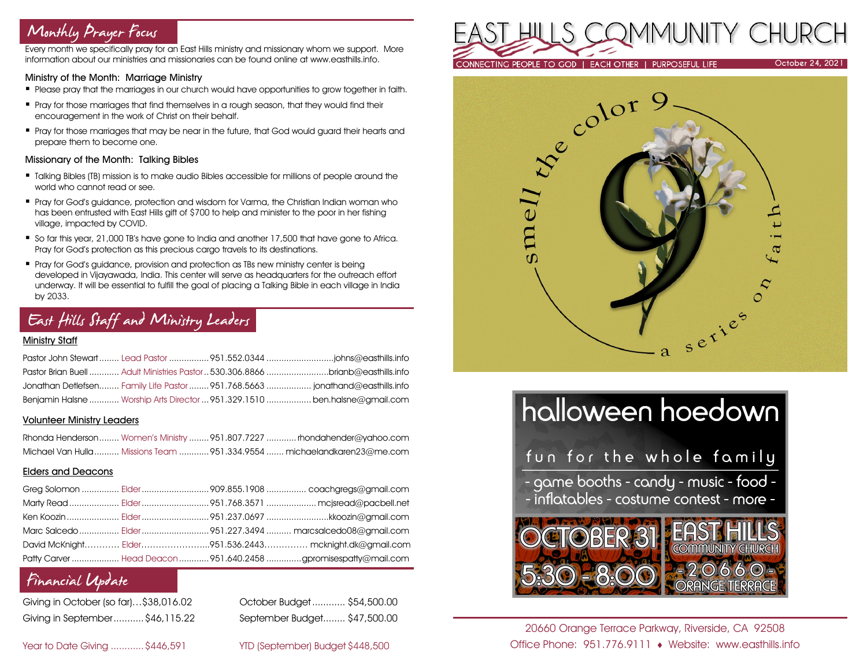# Monthly Prayer Focus

Every month we specifically pray for an East Hills ministry and missionary whom we support. More information about our ministries and missionaries can be found online at www.easthills.info.

#### Ministry of the Month: Marriage Ministry

- **Please pray that the marriages in our church would have opportunities to grow together in faith.**
- **Pray for those marriages that find themselves in a rough season, that they would find their** encouragement in the work of Christ on their behalf.
- **Pray for those marriages that may be near in the future, that God would guard their hearts and** prepare them to become one.

#### Missionary of the Month: Talking Bibles

- Talking Bibles (TB) mission is to make audio Bibles accessible for millions of people around the world who cannot read or see.
- Pray for God's auidance, protection and wisdom for Varma, the Christian Indian woman who has been entrusted with East Hills gift of \$700 to help and minister to the poor in her fishing village, impacted by COVID.
- So far this year, 21,000 TB's have gone to India and another 17,500 that have gone to Africa. Pray for God's protection as this precious cargo travels to its destinations.
- Pray for God's guidance, provision and protection as TBs new ministry center is being developed in Vijayawada, India. This center will serve as headquarters for the outreach effort underway. It will be essential to fulfill the goal of placing a Talking Bible in each village in India by 2033.

# East Hills Staff and Ministry Leaders

#### Ministry Staff

|  | Pastor Brian Buell  Adult Ministries Pastor  530.306.8866 brianb@easthills.info |
|--|---------------------------------------------------------------------------------|
|  | Jonathan Detlefsen Family Life Pastor 951.768.5663  jonathand@easthills.info    |
|  | Benjamin Halsne  Worship Arts Director  951.329.1510  ben.halsne@gmail.com      |

#### Volunteer Ministry Leaders

|  | Rhonda Henderson Women's Ministry  951.807.7227  rhondahender@yahoo.com |
|--|-------------------------------------------------------------------------|
|  | Michael Van Hulla Missions Team 951.334.9554  michaelandkaren23@me.com  |

#### Elders and Deacons

|  | Ken Koozin  Elder 951.237.0697 kkoozin@gmail.com                |
|--|-----------------------------------------------------------------|
|  |                                                                 |
|  | David McKnight Elder951.536.2443 mcknight.dk@gmail.com          |
|  | Patty Carver  Head Deacon  951.640.2458 gpromisespatty@mail.com |

### Financial Update

| Giving in October (so far)\$38,016.02 |  |
|---------------------------------------|--|
| Giving in September \$46,115.22       |  |

October Budget............ \$54,500.00 Giving in September...........\$46,115.22 September Budget........ \$47,500.00

Year to Date Giving ............\$446,591 YTD (September) Budget \$448,500







20660 Orange Terrace Parkway, Riverside, CA 92508 Office Phone: 951.776.9111 Website: www.easthills.info